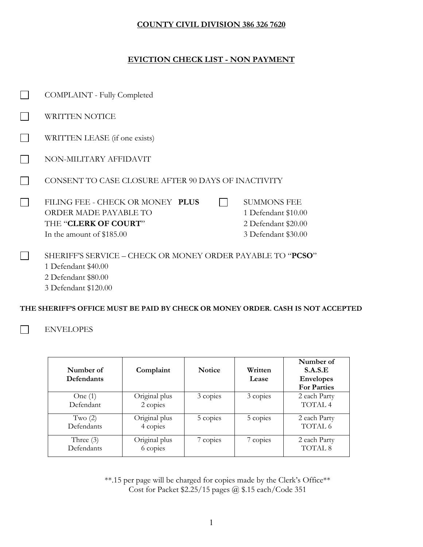### **COUNTY CIVIL DIVISION 386 326 7620**

## **EVICTION CHECK LIST - NON PAYMENT**

| COMPLAINT - Fully Completed                                                                                           |                                                                                         |  |
|-----------------------------------------------------------------------------------------------------------------------|-----------------------------------------------------------------------------------------|--|
| WRITTEN NOTICE                                                                                                        |                                                                                         |  |
| WRITTEN LEASE (if one exists)                                                                                         |                                                                                         |  |
| NON-MILITARY AFFIDAVIT                                                                                                |                                                                                         |  |
| CONSENT TO CASE CLOSURE AFTER 90 DAYS OF INACTIVITY                                                                   |                                                                                         |  |
| FILING FEE - CHECK OR MONEY PLUS<br><b>ORDER MADE PAYABLE TO</b><br>THE "CLERK OF COURT"<br>In the amount of \$185.00 | <b>SUMMONS FEE</b><br>1 Defendant \$10.00<br>2 Defendant \$20.00<br>3 Defendant \$30.00 |  |
| SHERIFF'S SERVICE – CHECK OR MONEY ORDER PAYABLE TO "PCSO"<br>1 Defendant \$40.00<br>2 Defendant \$80.00              |                                                                                         |  |

**THE SHERIFF'S OFFICE MUST BE PAID BY CHECK OR MONEY ORDER. CASH IS NOT ACCEPTED**

ENVELOPES  $\Box$ 

3 Defendant \$120.00

| Number of<br><b>Defendants</b> | Complaint                 | <b>Notice</b> | Written<br>Lease | Number of<br>S.A.S.E<br><b>Envelopes</b><br><b>For Parties</b> |
|--------------------------------|---------------------------|---------------|------------------|----------------------------------------------------------------|
| One $(1)$<br>Defendant         | Original plus<br>2 copies | 3 copies      | 3 copies         | 2 each Party<br>TOTAL 4                                        |
| Two $(2)$<br>Defendants        | Original plus<br>4 copies | 5 copies      | 5 copies         | 2 each Party<br>TOTAL 6                                        |
| Three $(3)$<br>Defendants      | Original plus<br>6 copies | 7 copies      | 7 copies         | 2 each Party<br>TOTAL <sub>8</sub>                             |

\*\*.15 per page will be charged for copies made by the Clerk's Office\*\* Cost for Packet \$2.25/15 pages @ \$.15 each/Code 351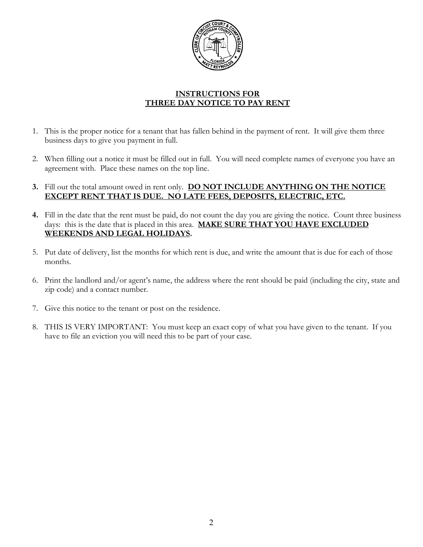

## **INSTRUCTIONS FOR THREE DAY NOTICE TO PAY RENT**

- 1. This is the proper notice for a tenant that has fallen behind in the payment of rent. It will give them three business days to give you payment in full.
- 2. When filling out a notice it must be filled out in full. You will need complete names of everyone you have an agreement with. Place these names on the top line.
- **3.** Fill out the total amount owed in rent only. **DO NOT INCLUDE ANYTHING ON THE NOTICE EXCEPT RENT THAT IS DUE. NO LATE FEES, DEPOSITS, ELECTRIC, ETC.**
- **4.** Fill in the date that the rent must be paid, do not count the day you are giving the notice. Count three business days: this is the date that is placed in this area. **MAKE SURE THAT YOU HAVE EXCLUDED WEEKENDS AND LEGAL HOLIDAYS.**
- 5. Put date of delivery, list the months for which rent is due, and write the amount that is due for each of those months.
- 6. Print the landlord and/or agent's name, the address where the rent should be paid (including the city, state and zip code) and a contact number.
- 7. Give this notice to the tenant or post on the residence.
- 8. THIS IS VERY IMPORTANT: You must keep an exact copy of what you have given to the tenant. If you have to file an eviction you will need this to be part of your case.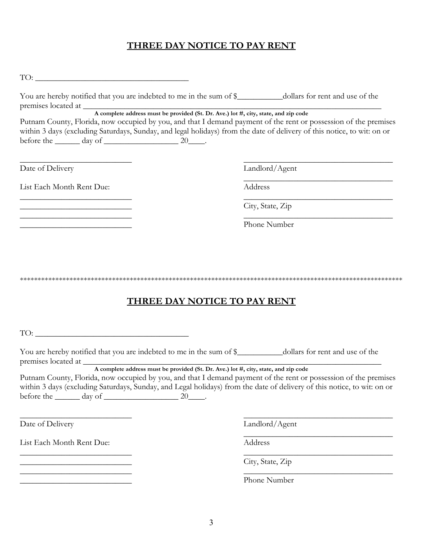# **THREE DAY NOTICE TO PAY RENT**

| TO:                                                                                                                                                                                                                                                                                                                                                                                                                                                                                    |                                                                 |  |  |
|----------------------------------------------------------------------------------------------------------------------------------------------------------------------------------------------------------------------------------------------------------------------------------------------------------------------------------------------------------------------------------------------------------------------------------------------------------------------------------------|-----------------------------------------------------------------|--|--|
| You are hereby notified that you are indebted to me in the sum of \$___________dollars for rent and use of the                                                                                                                                                                                                                                                                                                                                                                         |                                                                 |  |  |
| premises located at<br>A complete address must be provided (St. Dr. Ave.) lot #, city, state, and zip code<br>Putnam County, Florida, now occupied by you, and that I demand payment of the rent or possession of the premises<br>within 3 days (excluding Saturdays, Sunday, and legal holidays) from the date of delivery of this notice, to wit: on or<br>before the $\_\_\_\$ day of $\_\_\_\_\_\_\_$ 20 $\_\_\_\$ .                                                               |                                                                 |  |  |
| Date of Delivery                                                                                                                                                                                                                                                                                                                                                                                                                                                                       | Landlord/Agent                                                  |  |  |
| List Each Month Rent Due:                                                                                                                                                                                                                                                                                                                                                                                                                                                              | <u> 1989 - Johann Stoff, Amerikaansk politiker (</u><br>Address |  |  |
| the control of the control of the control of the control of the control of the control of                                                                                                                                                                                                                                                                                                                                                                                              | City, State, Zip                                                |  |  |
| <u> 1989 - Johann John Stoff, deutscher Stoffen und der Stoffen und der Stoffen und der Stoffen und der Stoffen un</u>                                                                                                                                                                                                                                                                                                                                                                 | Phone Number                                                    |  |  |
| THREE DAY NOTICE TO PAY RENT                                                                                                                                                                                                                                                                                                                                                                                                                                                           |                                                                 |  |  |
| $\begin{tabular}{c} TO: \begin{tabular}{@{}c@{}} \hline \multicolumn{3}{c}{} & \multicolumn{3}{c}{} \multicolumn{3}{c}{} \multicolumn{3}{c}{} \multicolumn{3}{c}{} \multicolumn{3}{c}{} \multicolumn{3}{c}{} \multicolumn{3}{c}{} \multicolumn{3}{c}{} \multicolumn{3}{c}{} \multicolumn{3}{c}{} \multicolumn{3}{c}{} \multicolumn{3}{c}{} \multicolumn{3}{c}{} \multicolumn{3}{c}{} \multicolumn{3}{c}{} \multicolumn{3}{c}{} \multicolumn{3}{c}{} \multicolumn{3}{c}{} \multicolumn$ |                                                                 |  |  |
| You are hereby notified that you are indebted to me in the sum of \$___________dollars for rent and use of the<br>A complete address must be provided (St. Dr. Ave.) lot #, city, state, and zip code<br>Putnam County, Florida, now occupied by you, and that I demand payment of the rent or possession of the premises                                                                                                                                                              |                                                                 |  |  |
| within 3 days (excluding Saturdays, Sunday, and Legal holidays) from the date of delivery of this notice, to wit: on or<br>before the $\_\_\_\_$ day of $\_\_\_\_\_\_$ 20 $\_\_\_\_\$ .                                                                                                                                                                                                                                                                                                |                                                                 |  |  |
| Date of Delivery                                                                                                                                                                                                                                                                                                                                                                                                                                                                       | Landlord/Agent                                                  |  |  |

List Each Month Rent Due: Address

\_\_\_\_\_\_\_\_\_\_\_\_\_\_\_\_\_\_\_\_\_\_\_\_\_\_\_ \_\_\_\_\_\_\_\_\_\_\_\_\_\_\_\_\_\_\_\_\_\_\_\_\_\_\_\_\_\_\_\_\_\_\_\_

**Example 2** City, State, Zip

Phone Number

 $\overline{\phantom{a}}$  , and the contract of the contract of the contract of the contract of the contract of the contract of the contract of the contract of the contract of the contract of the contract of the contract of the contrac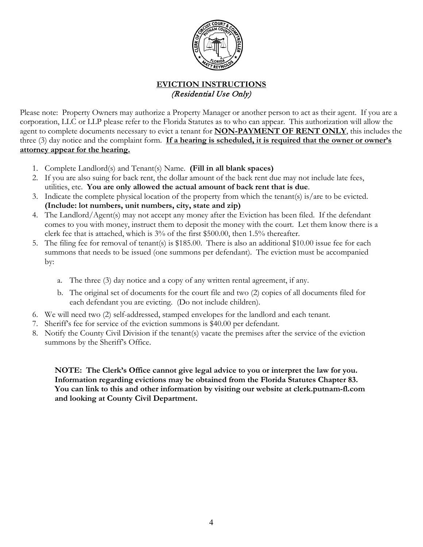

## **EVICTION INSTRUCTIONS** (Residential Use Only)

Please note: Property Owners may authorize a Property Manager or another person to act as their agent. If you are a corporation, LLC or LLP please refer to the Florida Statutes as to who can appear. This authorization will allow the agent to complete documents necessary to evict a tenant for **NON-PAYMENT OF RENT ONLY**, this includes the three (3) day notice and the complaint form. **If a hearing is scheduled, it is required that the owner or owner's attorney appear for the hearing.**

- 1. Complete Landlord(s) and Tenant(s) Name. **(Fill in all blank spaces)**
- 2. If you are also suing for back rent, the dollar amount of the back rent due may not include late fees, utilities, etc. **You are only allowed the actual amount of back rent that is due**.
- 3. Indicate the complete physical location of the property from which the tenant(s) is/are to be evicted. **(Include: lot numbers, unit numbers, city, state and zip)**
- 4. The Landlord/Agent(s) may not accept any money after the Eviction has been filed. If the defendant comes to you with money, instruct them to deposit the money with the court. Let them know there is a clerk fee that is attached, which is 3% of the first \$500.00, then 1.5% thereafter.
- 5. The filing fee for removal of tenant(s) is \$185.00. There is also an additional \$10.00 issue fee for each summons that needs to be issued (one summons per defendant). The eviction must be accompanied by:
	- a. The three (3) day notice and a copy of any written rental agreement, if any.
	- b. The original set of documents for the court file and two (2) copies of all documents filed for each defendant you are evicting. (Do not include children).
- 6. We will need two (2) self-addressed, stamped envelopes for the landlord and each tenant.
- 7. Sheriff's fee for service of the eviction summons is \$40.00 per defendant.
- 8. Notify the County Civil Division if the tenant(s) vacate the premises after the service of the eviction summons by the Sheriff's Office.

**NOTE: The Clerk's Office cannot give legal advice to you or interpret the law for you. Information regarding evictions may be obtained from the Florida Statutes Chapter 83. You can link to this and other information by visiting our website at clerk.putnam-fl.com and looking at County Civil Department.**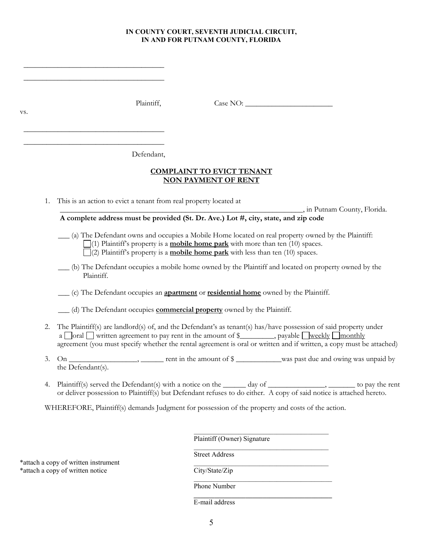#### **IN COUNTY COURT, SEVENTH JUDICIAL CIRCUIT, IN AND FOR PUTNAM COUNTY, FLORIDA**

 $\_$ \_\_\_\_\_\_\_\_\_\_\_\_\_\_\_\_\_\_\_\_\_\_\_\_\_\_\_\_\_\_\_\_\_\_\_\_\_

\_\_\_\_\_\_\_\_\_\_\_\_\_\_\_\_\_\_\_\_\_\_\_\_\_\_\_\_\_\_\_\_\_\_\_\_\_  $\_$ 

vs.

Plaintiff, Case NO:

Defendant,

#### **COMPLAINT TO EVICT TENANT NON PAYMENT OF RENT**

1. This is an action to evict a tenant from real property located at

\_\_\_\_\_\_\_\_\_\_\_\_\_\_\_\_\_\_\_\_\_\_\_\_\_\_\_\_\_\_\_\_\_\_\_\_\_\_\_\_\_\_\_\_\_\_\_\_\_\_\_\_\_\_\_\_\_\_\_\_\_\_\_\_, in Putnam County, Florida.

**A complete address must be provided (St. Dr. Ave.) Lot #, city, state, and zip code**

 \_\_\_ (a) The Defendant owns and occupies a Mobile Home located on real property owned by the Plaintiff: (1) Plaintiff's property is a **mobile home park** with more than ten (10) spaces.  $\Box$ (2) Plaintiff's property is a **mobile home park** with less than ten (10) spaces.

 \_\_\_ (b) The Defendant occupies a mobile home owned by the Plaintiff and located on property owned by the Plaintiff.

\_\_\_ (c) The Defendant occupies an **apartment** or **residential home** owned by the Plaintiff.

\_\_\_ (d) The Defendant occupies **commercial property** owned by the Plaintiff.

- 2. The Plaintiff(s) are landlord(s) of, and the Defendant's as tenant(s) has/have possession of said property under a  $\Box$  oral  $\Box$  written agreement to pay rent in the amount of \$ $\Box$ , payable  $\Box$  weekly  $\Box$  monthly agreement (you must specify whether the rental agreement is oral or written and if written, a copy must be attached)
- 3. On \_\_\_\_\_\_\_\_\_\_\_\_\_\_\_\_\_, \_\_\_\_\_\_ rent in the amount of  $\frac{8}{2}$ \_\_\_\_\_\_\_\_\_was past due and owing was unpaid by the Defendant(s).
- 4. Plaintiff(s) served the Defendant(s) with a notice on the \_\_\_\_\_ day of \_\_\_\_\_\_\_\_\_\_\_\_, \_\_\_\_\_\_\_ to pay the rent or deliver possession to Plaintiff(s) but Defendant refuses to do either. A copy of said notice is attached hereto.

WHEREFORE, Plaintiff(s) demands Judgment for possession of the property and costs of the action.

Plaintiff (Owner) Signature

\_\_\_\_\_\_\_\_\_\_\_\_\_\_\_\_\_\_\_\_\_\_\_\_\_\_\_\_\_\_\_\_\_\_\_\_\_\_\_

\_\_\_\_\_\_\_\_\_\_\_\_\_\_\_\_\_\_\_\_\_\_\_\_\_\_\_\_\_\_\_\_\_\_\_\_\_\_\_

\*attach a copy of written instrument \_\_\_\_\_\_\_\_\_\_\_\_\_\_\_\_\_\_\_\_\_\_\_\_\_\_\_\_\_\_\_\_\_\_\_\_\_\_\_ \*attach a copy of written notice City/State/Zip

Street Address

\_\_\_\_\_\_\_\_\_\_\_\_\_\_\_\_\_\_\_\_\_\_\_\_\_\_\_\_\_\_\_\_\_\_\_\_\_\_\_\_

Phone Number **\_\_\_\_\_\_\_\_\_\_\_\_\_\_\_\_\_\_\_\_\_\_\_\_\_\_\_\_\_\_\_\_\_\_\_\_\_\_\_\_**

E-mail address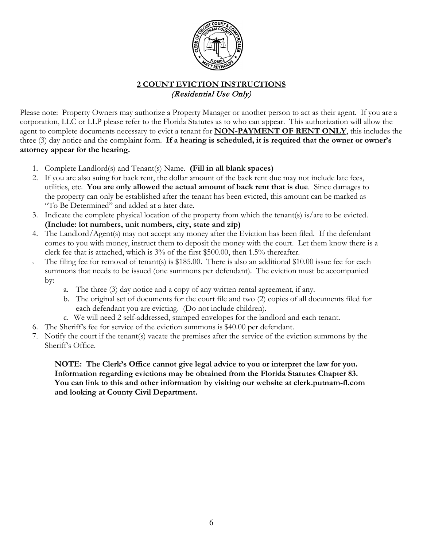

## **2 COUNT EVICTION INSTRUCTIONS** (Residential Use Only)

Please note: Property Owners may authorize a Property Manager or another person to act as their agent. If you are a corporation, LLC or LLP please refer to the Florida Statutes as to who can appear. This authorization will allow the agent to complete documents necessary to evict a tenant for **NON-PAYMENT OF RENT ONLY**, this includes the three (3) day notice and the complaint form. **If a hearing is scheduled, it is required that the owner or owner's attorney appear for the hearing.**

- 1. Complete Landlord(s) and Tenant(s) Name. **(Fill in all blank spaces)**
- 2. If you are also suing for back rent, the dollar amount of the back rent due may not include late fees, utilities, etc. **You are only allowed the actual amount of back rent that is due**. Since damages to the property can only be established after the tenant has been evicted, this amount can be marked as "To Be Determined" and added at a later date.
- 3. Indicate the complete physical location of the property from which the tenant(s) is/are to be evicted. **(Include: lot numbers, unit numbers, city, state and zip)**
- 4. The Landlord/Agent(s) may not accept any money after the Eviction has been filed. If the defendant comes to you with money, instruct them to deposit the money with the court. Let them know there is a clerk fee that is attached, which is 3% of the first \$500.00, then 1.5% thereafter.
- The filing fee for removal of tenant(s) is \$185.00. There is also an additional \$10.00 issue fee for each summons that needs to be issued (one summons per defendant). The eviction must be accompanied by:
	- a. The three (3) day notice and a copy of any written rental agreement, if any.
	- b. The original set of documents for the court file and two (2) copies of all documents filed for each defendant you are evicting. (Do not include children).
	- c. We will need 2 self-addressed, stamped envelopes for the landlord and each tenant.
- 6. The Sheriff's fee for service of the eviction summons is \$40.00 per defendant.
- 7. Notify the court if the tenant(s) vacate the premises after the service of the eviction summons by the Sheriff's Office.

**NOTE: The Clerk's Office cannot give legal advice to you or interpret the law for you. Information regarding evictions may be obtained from the Florida Statutes Chapter 83. You can link to this and other information by visiting our website at clerk.putnam-fl.com and looking at County Civil Department.**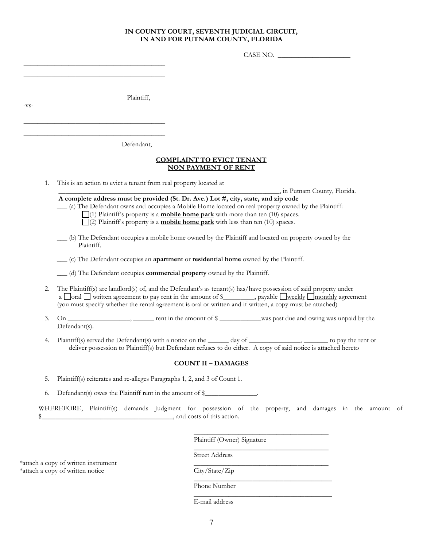#### **IN COUNTY COURT, SEVENTH JUDICIAL CIRCUIT, IN AND FOR PUTNAM COUNTY, FLORIDA**

CASE NO.

Plaintiff,

\_\_\_\_\_\_\_\_\_\_\_\_\_\_\_\_\_\_\_\_\_\_\_\_\_\_\_\_\_\_\_\_\_\_\_\_\_\_\_\_\_ Defendant,

\_\_\_\_\_\_\_\_\_\_\_\_\_\_\_\_\_\_\_\_\_\_\_\_\_\_\_\_\_\_\_\_\_\_\_\_\_\_\_\_\_ \_\_\_\_\_\_\_\_\_\_\_\_\_\_\_\_\_\_\_\_\_\_\_\_\_\_\_\_\_\_\_\_\_\_\_\_\_\_\_\_\_

\_\_\_\_\_\_\_\_\_\_\_\_\_\_\_\_\_\_\_\_\_\_\_\_\_\_\_\_\_\_\_\_\_\_\_\_\_\_\_\_\_

-vs-

#### **COMPLAINT TO EVICT TENANT NON PAYMENT OF RENT**

1. This is an action to evict a tenant from real property located at

\_\_\_\_\_\_\_\_\_\_\_\_\_\_\_\_\_\_\_\_\_\_\_\_\_\_\_\_\_\_\_\_\_\_\_\_\_\_\_\_\_\_\_\_\_\_\_\_\_\_\_\_\_\_\_\_\_\_\_\_\_\_\_\_, in Putnam County, Florida.

**A complete address must be provided (St. Dr. Ave.) Lot #, city, state, and zip code**

\_\_\_ (a) The Defendant owns and occupies a Mobile Home located on real property owned by the Plaintiff:

 (1) Plaintiff's property is a **mobile home park** with more than ten (10) spaces. (2) Plaintiff's property is a **mobile home park** with less than ten (10) spaces.

 \_\_\_ (b) The Defendant occupies a mobile home owned by the Plaintiff and located on property owned by the Plaintiff.

\_\_\_ (c) The Defendant occupies an **apartment** or **residential home** owned by the Plaintiff.

\_\_\_ (d) The Defendant occupies **commercial property** owned by the Plaintiff.

- 2. The Plaintiff(s) are landlord(s) of, and the Defendant's as tenant(s) has/have possession of said property under a  $\Box$ oral  $\Box$  written agreement to pay rent in the amount of \$ $\Box$ , payable  $\Box$  weekly  $\Box$  monthly agreement (you must specify whether the rental agreement is oral or written and if written, a copy must be attached)
- 3. On \_\_\_\_\_\_\_\_\_\_\_\_\_\_\_\_\_, \_\_\_\_\_\_\_ rent in the amount of  $\gamma$  \_\_\_\_\_\_\_\_\_\_was past due and owing was unpaid by the Defendant(s).
- 4. Plaintiff(s) served the Defendant(s) with a notice on the \_\_\_\_\_ day of \_\_\_\_\_\_\_\_\_\_\_\_, \_\_\_\_\_\_\_\_ to pay the rent or deliver possession to Plaintiff(s) but Defendant refuses to do either. A copy of said notice is attached hereto

#### **COUNT II – DAMAGES**

5. Plaintiff(s) reiterates and re-alleges Paragraphs 1, 2, and 3 of Count 1.

6. Defendant(s) owes the Plaintiff rent in the amount of \$\_\_\_\_\_\_\_\_\_\_\_\_\_\_\_.

WHEREFORE, Plaintiff(s) demands Judgment for possession of the property, and damages in the amount of \$\_\_\_\_\_\_\_\_\_\_\_\_\_\_\_\_\_\_\_\_\_\_\_\_\_\_\_\_\_\_\_\_\_\_\_\_\_\_, and costs of this action.

Plaintiff (Owner) Signature

\_\_\_\_\_\_\_\_\_\_\_\_\_\_\_\_\_\_\_\_\_\_\_\_\_\_\_\_\_\_\_\_\_\_\_\_\_\_\_

\_\_\_\_\_\_\_\_\_\_\_\_\_\_\_\_\_\_\_\_\_\_\_\_\_\_\_\_\_\_\_\_\_\_\_\_\_\_\_

**\_\_\_\_\_\_\_\_\_\_\_\_\_\_\_\_\_\_\_\_\_\_\_\_\_\_\_\_\_\_\_\_\_\_\_\_\_\_\_\_**

Street Address

\*attach a copy of written instrument \_\_\_\_\_\_\_\_\_\_\_\_\_\_\_\_\_\_\_\_\_\_\_\_\_\_\_\_\_\_\_\_\_\_\_\_\_\_\_ \*attach a copy of written notice City/State/Zip

\_\_\_\_\_\_\_\_\_\_\_\_\_\_\_\_\_\_\_\_\_\_\_\_\_\_\_\_\_\_\_\_\_\_\_\_\_\_\_\_ Phone Number

E-mail address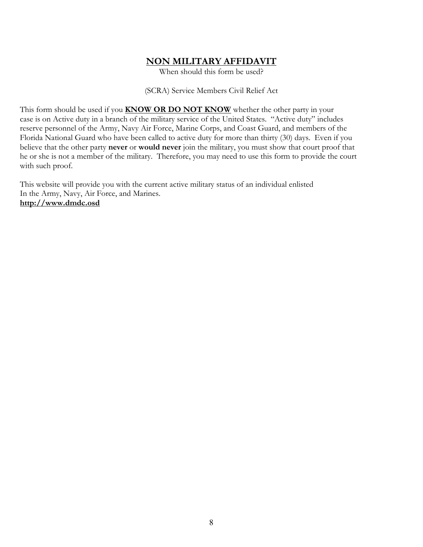## **NON MILITARY AFFIDAVIT**

When should this form be used?

(SCRA) Service Members Civil Relief Act

This form should be used if you **KNOW OR DO NOT KNOW** whether the other party in your case is on Active duty in a branch of the military service of the United States. "Active duty" includes reserve personnel of the Army, Navy Air Force, Marine Corps, and Coast Guard, and members of the Florida National Guard who have been called to active duty for more than thirty (30) days. Even if you believe that the other party **never** or **would never** join the military, you must show that court proof that he or she is not a member of the military. Therefore, you may need to use this form to provide the court with such proof.

This website will provide you with the current active military status of an individual enlisted In the Army, Navy, Air Force, and Marines. **http://www.dmdc.osd**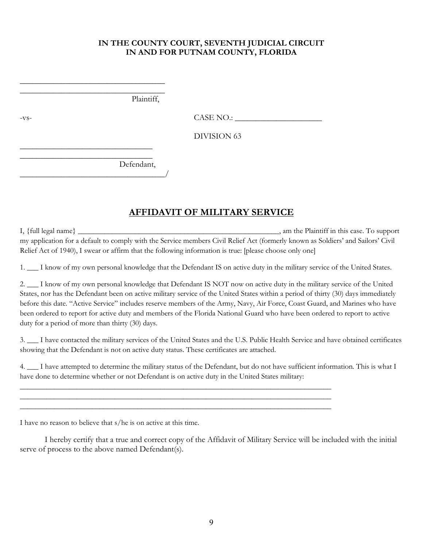## **IN THE COUNTY COURT, SEVENTH JUDICIAL CIRCUIT IN AND FOR PUTNAM COUNTY, FLORIDA**

 $\overline{\phantom{a}}$  , we can assume that the contract of  $\overline{\phantom{a}}$ Plaintiff,

\_\_\_\_\_\_\_\_\_\_\_\_\_\_\_\_\_\_\_\_\_\_\_\_\_\_\_\_\_\_\_\_\_\_\_

\_\_\_\_\_\_\_\_\_\_\_\_\_\_\_\_\_\_\_\_\_\_\_\_\_\_\_\_\_\_\_\_

\_\_\_\_\_\_\_\_\_\_\_\_\_\_\_\_\_\_\_\_\_\_\_\_\_\_\_\_\_\_\_\_\_\_\_/

-vs- CASE NO.:

DIVISION 63

 $\overline{\phantom{a}}$  , where  $\overline{\phantom{a}}$  , where  $\overline{\phantom{a}}$  , where  $\overline{\phantom{a}}$ Defendant,

## **AFFIDAVIT OF MILITARY SERVICE**

I, {full legal name} \_\_\_\_\_\_\_\_\_\_\_\_\_\_\_\_\_\_\_\_\_\_\_\_\_\_\_\_\_\_\_\_\_\_\_\_\_\_\_\_\_\_\_\_\_\_\_\_\_\_\_\_\_, am the Plaintiff in this case. To support my application for a default to comply with the Service members Civil Relief Act (formerly known as Soldiers' and Sailors' Civil Relief Act of 1940), I swear or affirm that the following information is true: [please choose only one]

1. \_\_\_ I know of my own personal knowledge that the Defendant IS on active duty in the military service of the United States.

2. \_\_ I know of my own personal knowledge that Defendant IS NOT now on active duty in the military service of the United States, nor has the Defendant been on active military service of the United States within a period of thirty (30) days immediately before this date. "Active Service" includes reserve members of the Army, Navy, Air Force, Coast Guard, and Marines who have been ordered to report for active duty and members of the Florida National Guard who have been ordered to report to active duty for a period of more than thirty (30) days.

3. \_\_\_ I have contacted the military services of the United States and the U.S. Public Health Service and have obtained certificates showing that the Defendant is not on active duty status. These certificates are attached.

4. \_\_\_ I have attempted to determine the military status of the Defendant, but do not have sufficient information. This is what I have done to determine whether or not Defendant is on active duty in the United States military:

\_\_\_\_\_\_\_\_\_\_\_\_\_\_\_\_\_\_\_\_\_\_\_\_\_\_\_\_\_\_\_\_\_\_\_\_\_\_\_\_\_\_\_\_\_\_\_\_\_\_\_\_\_\_\_\_\_\_\_\_\_\_\_\_\_\_\_\_\_\_\_\_\_\_\_\_\_\_\_\_\_\_ \_\_\_\_\_\_\_\_\_\_\_\_\_\_\_\_\_\_\_\_\_\_\_\_\_\_\_\_\_\_\_\_\_\_\_\_\_\_\_\_\_\_\_\_\_\_\_\_\_\_\_\_\_\_\_\_\_\_\_\_\_\_\_\_\_\_\_\_\_\_\_\_\_\_\_\_\_\_\_\_\_\_ \_\_\_\_\_\_\_\_\_\_\_\_\_\_\_\_\_\_\_\_\_\_\_\_\_\_\_\_\_\_\_\_\_\_\_\_\_\_\_\_\_\_\_\_\_\_\_\_\_\_\_\_\_\_\_\_\_\_\_\_\_\_\_\_\_\_\_\_\_\_\_\_\_\_\_\_\_\_\_\_\_\_

I have no reason to believe that s/he is on active at this time.

I hereby certify that a true and correct copy of the Affidavit of Military Service will be included with the initial serve of process to the above named Defendant(s).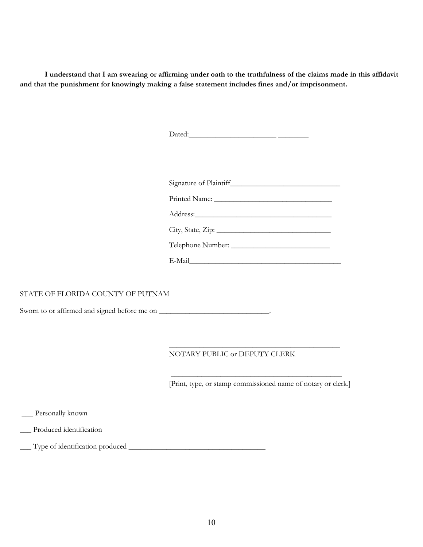**I understand that I am swearing or affirming under oath to the truthfulness of the claims made in this affidavit and that the punishment for knowingly making a false statement includes fines and/or imprisonment.**

|                                   | Signature of Plaintiff                                        |
|-----------------------------------|---------------------------------------------------------------|
|                                   |                                                               |
|                                   |                                                               |
|                                   |                                                               |
|                                   |                                                               |
|                                   |                                                               |
|                                   |                                                               |
| STATE OF FLORIDA COUNTY OF PUTNAM |                                                               |
|                                   |                                                               |
|                                   |                                                               |
|                                   |                                                               |
|                                   | NOTARY PUBLIC or DEPUTY CLERK                                 |
|                                   |                                                               |
|                                   | [Print, type, or stamp commissioned name of notary or clerk.] |
|                                   |                                                               |
| __ Personally known               |                                                               |
| Produced identification           |                                                               |
|                                   |                                                               |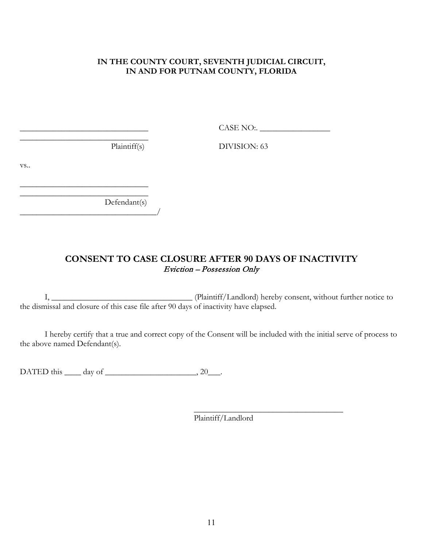## **IN THE COUNTY COURT, SEVENTH JUDICIAL CIRCUIT, IN AND FOR PUTNAM COUNTY, FLORIDA**

\_\_\_\_\_\_\_\_\_\_\_\_\_\_\_\_\_\_\_\_\_\_\_\_\_\_\_\_\_\_\_ CASE NO:. \_\_\_\_\_\_\_\_\_\_\_\_\_\_\_\_\_

 $\overline{\phantom{a}}$  , where  $\overline{\phantom{a}}$  , where  $\overline{\phantom{a}}$  ,  $\overline{\phantom{a}}$  ,  $\overline{\phantom{a}}$  ,  $\overline{\phantom{a}}$  ,  $\overline{\phantom{a}}$  ,  $\overline{\phantom{a}}$  ,  $\overline{\phantom{a}}$  ,  $\overline{\phantom{a}}$  ,  $\overline{\phantom{a}}$  ,  $\overline{\phantom{a}}$  ,  $\overline{\phantom{a}}$  ,  $\overline{\phantom{a}}$  ,  $\overline{\phantom{a}}$  ,

Plaintiff(s) DIVISION: 63

vs..

Defendant(s) \_\_\_\_\_\_\_\_\_\_\_\_\_\_\_\_\_\_\_\_\_\_\_\_\_\_\_\_\_\_\_\_\_/

 $\overline{\phantom{a}}$  , where  $\overline{\phantom{a}}$  , where  $\overline{\phantom{a}}$  ,  $\overline{\phantom{a}}$  ,  $\overline{\phantom{a}}$  ,  $\overline{\phantom{a}}$  ,  $\overline{\phantom{a}}$  ,  $\overline{\phantom{a}}$  ,  $\overline{\phantom{a}}$  ,  $\overline{\phantom{a}}$  ,  $\overline{\phantom{a}}$  ,  $\overline{\phantom{a}}$  ,  $\overline{\phantom{a}}$  ,  $\overline{\phantom{a}}$  ,  $\overline{\phantom{a}}$  ,

## **CONSENT TO CASE CLOSURE AFTER 90 DAYS OF INACTIVITY** Eviction – Possession Only

I, \_\_\_\_\_\_\_\_\_\_\_\_\_\_\_\_\_\_\_\_\_\_\_\_\_\_\_\_\_\_\_\_\_\_ (Plaintiff/Landlord) hereby consent, without further notice to the dismissal and closure of this case file after 90 days of inactivity have elapsed.

I hereby certify that a true and correct copy of the Consent will be included with the initial serve of process to the above named Defendant(s).

DATED this  $\qquad \qquad$  day of  $\qquad \qquad$ , 20

\_\_\_\_\_\_\_\_\_\_\_\_\_\_\_\_\_\_\_\_\_\_\_\_\_\_\_\_\_\_\_\_\_\_\_\_ Plaintiff/Landlord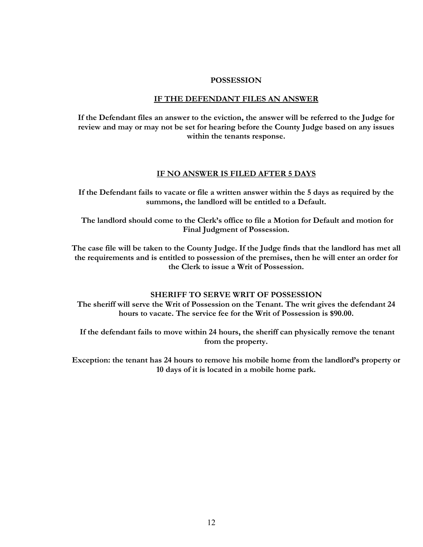#### **POSSESSION**

#### **IF THE DEFENDANT FILES AN ANSWER**

**If the Defendant files an answer to the eviction, the answer will be referred to the Judge for review and may or may not be set for hearing before the County Judge based on any issues within the tenants response.** 

#### **IF NO ANSWER IS FILED AFTER 5 DAYS**

**If the Defendant fails to vacate or file a written answer within the 5 days as required by the summons, the landlord will be entitled to a Default.**

**The landlord should come to the Clerk's office to file a Motion for Default and motion for Final Judgment of Possession.**

**The case file will be taken to the County Judge. If the Judge finds that the landlord has met all the requirements and is entitled to possession of the premises, then he will enter an order for the Clerk to issue a Writ of Possession.**

#### **SHERIFF TO SERVE WRIT OF POSSESSION**

**The sheriff will serve the Writ of Possession on the Tenant. The writ gives the defendant 24 hours to vacate. The service fee for the Writ of Possession is \$90.00.**

**If the defendant fails to move within 24 hours, the sheriff can physically remove the tenant from the property.**

**Exception: the tenant has 24 hours to remove his mobile home from the landlord's property or 10 days of it is located in a mobile home park.**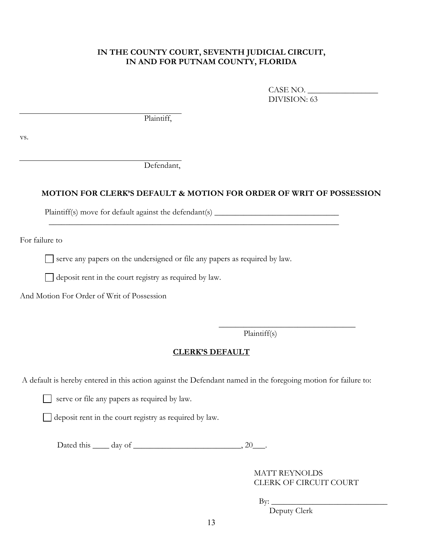### **IN THE COUNTY COURT, SEVENTH JUDICIAL CIRCUIT, IN AND FOR PUTNAM COUNTY, FLORIDA**

CASE NO. \_\_\_\_\_\_\_\_\_\_\_\_\_\_\_\_\_ DIVISION: 63

Plaintiff,

vs.

Defendant,

### **MOTION FOR CLERK'S DEFAULT & MOTION FOR ORDER OF WRIT OF POSSESSION**

Plaintiff(s) move for default against the defendant(s) \_\_\_\_\_\_\_\_\_\_\_\_\_\_\_\_\_\_\_\_\_\_\_\_\_\_

For failure to

 $\Box$  serve any papers on the undersigned or file any papers as required by law.

 $\mathcal{L}_\text{max}$  and  $\mathcal{L}_\text{max}$  and  $\mathcal{L}_\text{max}$  and  $\mathcal{L}_\text{max}$  and  $\mathcal{L}_\text{max}$  and  $\mathcal{L}_\text{max}$ 

 $\Box$  deposit rent in the court registry as required by law.

And Motion For Order of Writ of Possession

Plaintiff(s)

 $\overline{\phantom{a}}$  , where  $\overline{\phantom{a}}$  , where  $\overline{\phantom{a}}$  , where  $\overline{\phantom{a}}$ 

### **CLERK'S DEFAULT**

A default is hereby entered in this action against the Defendant named in the foregoing motion for failure to:

serve or file any papers as required by law.

deposit rent in the court registry as required by law.

Dated this  $\_\_\_$  day of  $\_\_\_\_\_\_\_\_\$ 

 MATT REYNOLDS CLERK OF CIRCUIT COURT

 $\mathrm{By:}$   $\_\_$ 

Deputy Clerk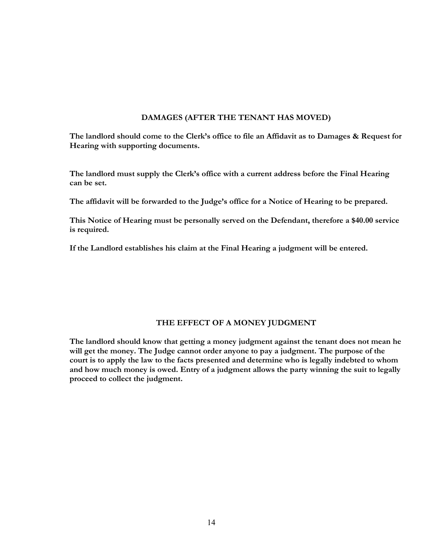#### **DAMAGES (AFTER THE TENANT HAS MOVED)**

**The landlord should come to the Clerk's office to file an Affidavit as to Damages & Request for Hearing with supporting documents.**

**The landlord must supply the Clerk's office with a current address before the Final Hearing can be set.**

**The affidavit will be forwarded to the Judge's office for a Notice of Hearing to be prepared.**

**This Notice of Hearing must be personally served on the Defendant, therefore a \$40.00 service is required.** 

**If the Landlord establishes his claim at the Final Hearing a judgment will be entered.**

### **THE EFFECT OF A MONEY JUDGMENT**

**The landlord should know that getting a money judgment against the tenant does not mean he will get the money. The Judge cannot order anyone to pay a judgment. The purpose of the court is to apply the law to the facts presented and determine who is legally indebted to whom and how much money is owed. Entry of a judgment allows the party winning the suit to legally proceed to collect the judgment.**